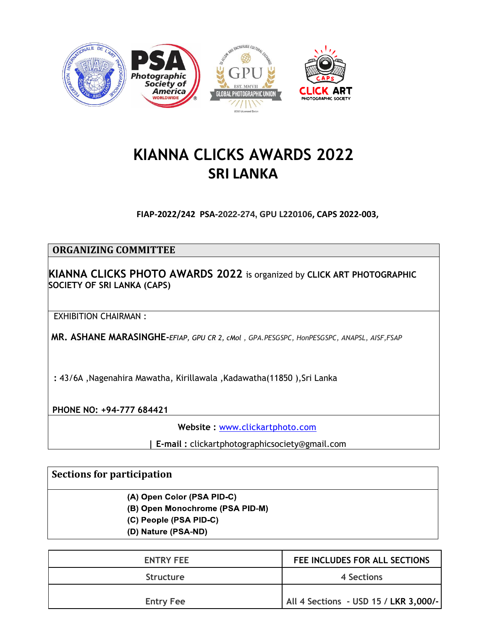

# **KIANNA CLICKS AWARDS 2022 SRI LANKA**

**FIAP-2022/242 PSA-2022-274, GPU L220106, CAPS 2022-003,**

### **ORGANIZING COMMITTEE**

**KIANNA CLICKS PHOTO AWARDS 2022** is organized by **CLICK ART PHOTOGRAPHIC SOCIETY OF SRI LANKA (CAPS)**

EXHIBITION CHAIRMAN :

**MR. ASHANE MARASINGHE-***EFIAP, GPU CR 2, cMol , GPA.PESGSPC, HonPESGSPC, ANAPSL, AISF,FSAP*

**:** 43/6A ,Nagenahira Mawatha, Kirillawala ,Kadawatha(11850 ),Sri Lanka

**PHONE NO: +94-777 684421**

**Website :** [www.clickartphoto.com](http://www.clickartphoto.com/)

**| E-mail :** clickartphotographicsociety@gmail.com

### **Sections for participation**

(A) Open Color (PSA PID-C)

(B) Open Monochrome (PSA PID-M)

(C) People (PSA PID-C)

(D) Nature (PSA-ND)

| <b>ENTRY FEE</b> | FEE INCLUDES FOR ALL SECTIONS         |
|------------------|---------------------------------------|
| <b>Structure</b> | 4 Sections                            |
| <b>Entry Fee</b> | All 4 Sections - USD 15 / LKR 3,000/- |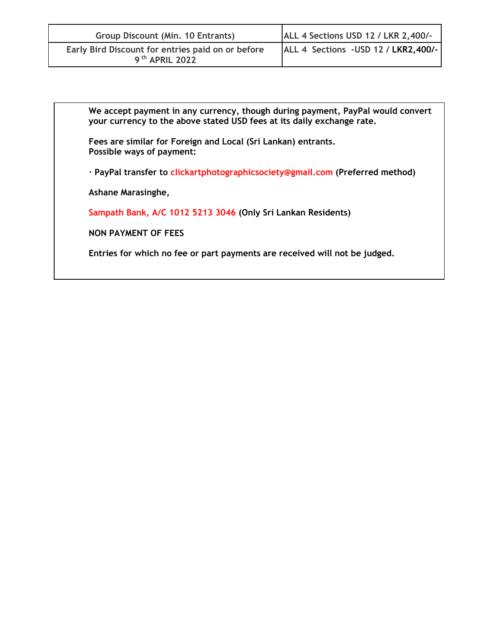| Group Discount (Min. 10 Entrants)                                               | ALL 4 Sections USD 12 / LKR 2,400/-  |  |
|---------------------------------------------------------------------------------|--------------------------------------|--|
| Early Bird Discount for entries paid on or before<br>9 <sup>th</sup> APRIL 2022 | ALL 4 Sections - USD 12 / LKR2,400/- |  |

**We accept payment in any currency, though during payment, PayPal would convert your currency to the above stated USD fees at its daily exchange rate.**

**Fees are similar for Foreign and Local (Sri Lankan) entrants. Possible ways of payment:**

**· PayPal transfer to clickartphotographicsociety@gmail.com (Preferred method)**

**Ashane Marasinghe,** 

**Sampath Bank, A/C 1012 5213 3046 (Only Sri Lankan Residents)**

**NON PAYMENT OF FEES**

**Entries for which no fee or part payments are received will not be judged.**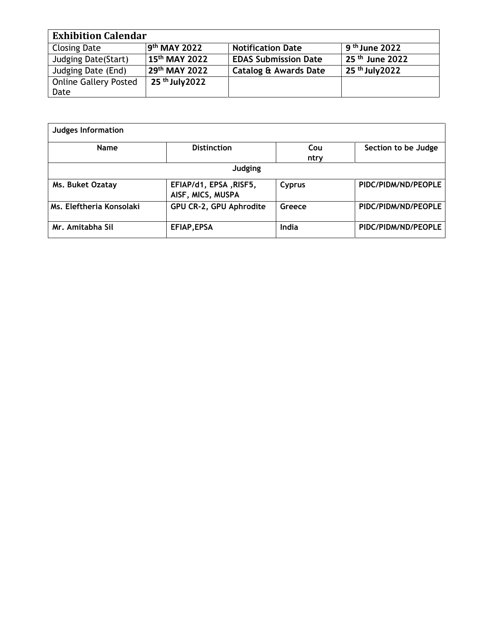| <b>Exhibition Calendar</b>   |                            |                                  |                            |  |
|------------------------------|----------------------------|----------------------------------|----------------------------|--|
| <b>Closing Date</b>          | 9 <sup>th</sup> MAY 2022   | <b>Notification Date</b>         | 9 <sup>th</sup> June 2022  |  |
| <b>Judging Date (Start)</b>  | $15th$ MAY 2022            | <b>EDAS Submission Date</b>      | 25 <sup>th</sup> June 2022 |  |
| Judging Date (End)           | 29th MAY 2022              | <b>Catalog &amp; Awards Date</b> | 25 th July 2022            |  |
| <b>Online Gallery Posted</b> | 25 <sup>th</sup> July 2022 |                                  |                            |  |
| Date                         |                            |                                  |                            |  |

| <b>Judges Information</b> |                                             |             |                     |
|---------------------------|---------------------------------------------|-------------|---------------------|
| <b>Name</b>               | <b>Distinction</b>                          | Cou<br>ntry | Section to be Judge |
|                           | Judging                                     |             |                     |
| Ms. Buket Ozatay          | EFIAP/d1, EPSA, RISF5,<br>AISF, MICS, MUSPA | Cyprus      | PIDC/PIDM/ND/PEOPLE |
| Ms. Eleftheria Konsolaki  | GPU CR-2, GPU Aphrodite                     | Greece      | PIDC/PIDM/ND/PEOPLE |
| Mr. Amitabha Sil          | EFIAP, EPSA                                 | India       | PIDC/PIDM/ND/PEOPLE |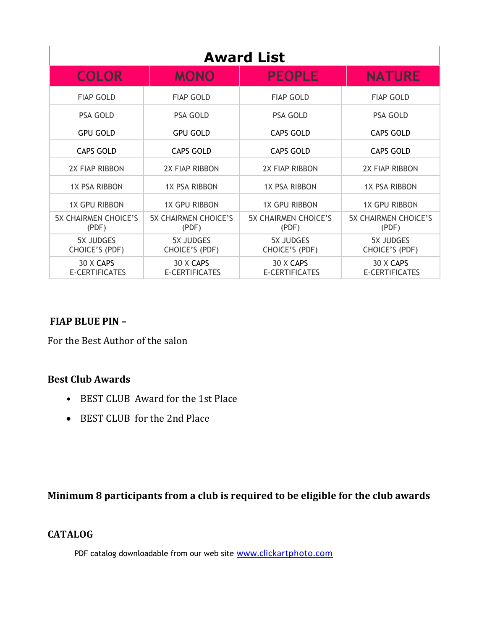| <b>Award List</b>                    |                                      |                                      |                                      |  |  |
|--------------------------------------|--------------------------------------|--------------------------------------|--------------------------------------|--|--|
| <b>COLOR</b>                         | <b>MONO</b>                          | <b>PEOPLE</b>                        | <b>NATURE</b>                        |  |  |
| <b>FIAP GOLD</b>                     | <b>FIAP GOLD</b>                     | <b>FIAP GOLD</b>                     | <b>FIAP GOLD</b>                     |  |  |
| <b>PSA GOLD</b>                      | PSA GOLD                             | PSA GOLD                             | <b>PSA GOLD</b>                      |  |  |
| <b>GPU GOLD</b>                      | <b>GPU GOLD</b>                      | <b>CAPS GOLD</b>                     | <b>CAPS GOLD</b>                     |  |  |
| <b>CAPS GOLD</b>                     | <b>CAPS GOLD</b>                     | <b>CAPS GOLD</b>                     | <b>CAPS GOLD</b>                     |  |  |
| 2X FIAP RIBBON                       | 2X FIAP RIBBON                       | 2X FIAP RIBBON                       | <b>2X FIAP RIBBON</b>                |  |  |
| <b>1X PSA RIBBON</b>                 | <b>1X PSA RIBBON</b>                 | <b>1X PSA RIBBON</b>                 | <b>1X PSA RIBBON</b>                 |  |  |
| <b>1X GPU RIBBON</b>                 | <b>1X GPU RIBBON</b>                 | <b>1X GPU RIBBON</b>                 | <b>1X GPU RIBBON</b>                 |  |  |
| <b>5X CHAIRMEN CHOICE'S</b><br>(PDF) | <b>5X CHAIRMEN CHOICE'S</b><br>(PDF) | <b>5X CHAIRMEN CHOICE'S</b><br>(PDF) | <b>5X CHAIRMEN CHOICE'S</b><br>(PDF) |  |  |
| 5X JUDGES<br>CHOICE'S (PDF)          | <b>5X JUDGES</b><br>CHOICE'S (PDF)   | <b>5X JUDGES</b><br>CHOICE'S (PDF)   | 5X JUDGES<br>CHOICE'S (PDF)          |  |  |
| 30 X CAPS<br><b>E-CERTIFICATES</b>   | 30 X CAPS<br>E-CERTIFICATES          | 30 X CAPS<br><b>E-CERTIFICATES</b>   | 30 X CAPS<br><b>E-CERTIFICATES</b>   |  |  |

#### **FIAP BLUE PIN –**

For the Best Author of the salon

#### **Best Club Awards**

- BEST CLUB Award for the 1st Place
- BEST CLUB for the 2nd Place

## **Minimum 8 participants from a club is required to be eligible for the club awards**

#### **CATALOG**

PDF catalog downloadable from our web site [www.clickartphoto.com](http://www.clickartphoto.com/)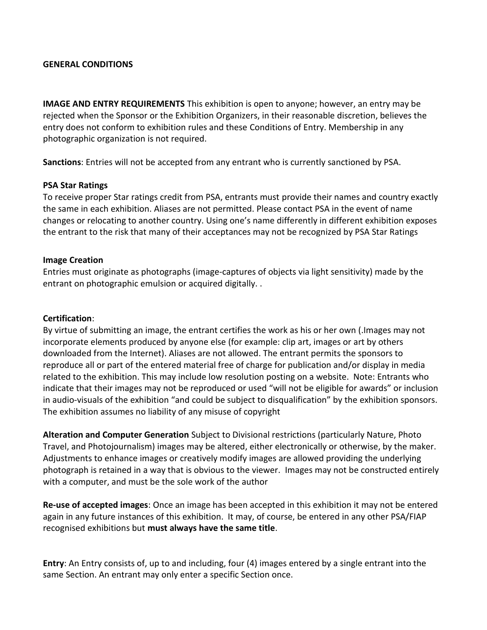#### **GENERAL CONDITIONS**

**IMAGE AND ENTRY REQUIREMENTS** This exhibition is open to anyone; however, an entry may be rejected when the Sponsor or the Exhibition Organizers, in their reasonable discretion, believes the entry does not conform to exhibition rules and these Conditions of Entry. Membership in any photographic organization is not required.

**Sanctions**: Entries will not be accepted from any entrant who is currently sanctioned by PSA.

#### **PSA Star Ratings**

To receive proper Star ratings credit from PSA, entrants must provide their names and country exactly the same in each exhibition. Aliases are not permitted. Please contact PSA in the event of name changes or relocating to another country. Using one's name differently in different exhibition exposes the entrant to the risk that many of their acceptances may not be recognized by PSA Star Ratings

#### **Image Creation**

Entries must originate as photographs (image-captures of objects via light sensitivity) made by the entrant on photographic emulsion or acquired digitally. .

#### **Certification**:

By virtue of submitting an image, the entrant certifies the work as his or her own (.Images may not incorporate elements produced by anyone else (for example: clip art, images or art by others downloaded from the Internet). Aliases are not allowed. The entrant permits the sponsors to reproduce all or part of the entered material free of charge for publication and/or display in media related to the exhibition. This may include low resolution posting on a website. Note: Entrants who indicate that their images may not be reproduced or used "will not be eligible for awards" or inclusion in audio-visuals of the exhibition "and could be subject to disqualification" by the exhibition sponsors. The exhibition assumes no liability of any misuse of copyright

**Alteration and Computer Generation** Subject to Divisional restrictions (particularly Nature, Photo Travel, and Photojournalism) images may be altered, either electronically or otherwise, by the maker. Adjustments to enhance images or creatively modify images are allowed providing the underlying photograph is retained in a way that is obvious to the viewer. Images may not be constructed entirely with a computer, and must be the sole work of the author

**Re-use of accepted images**: Once an image has been accepted in this exhibition it may not be entered again in any future instances of this exhibition. It may, of course, be entered in any other PSA/FIAP recognised exhibitions but **must always have the same title**.

**Entry**: An Entry consists of, up to and including, four (4) images entered by a single entrant into the same Section. An entrant may only enter a specific Section once.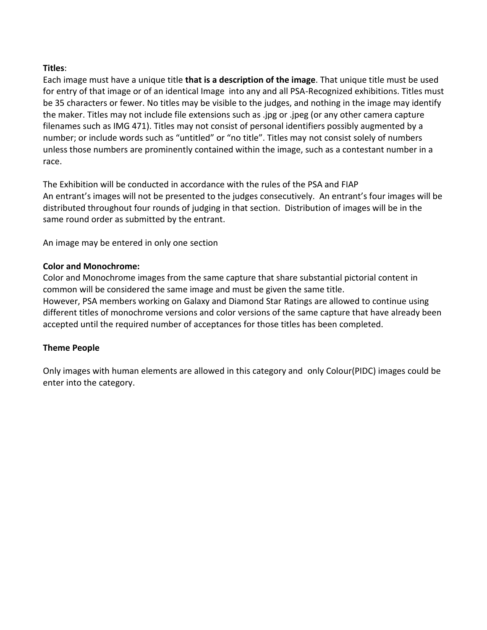#### **Titles**:

Each image must have a unique title **that is a description of the image**. That unique title must be used for entry of that image or of an identical Image into any and all PSA-Recognized exhibitions. Titles must be 35 characters or fewer. No titles may be visible to the judges, and nothing in the image may identify the maker. Titles may not include file extensions such as .jpg or .jpeg (or any other camera capture filenames such as IMG 471). Titles may not consist of personal identifiers possibly augmented by a number; or include words such as "untitled" or "no title". Titles may not consist solely of numbers unless those numbers are prominently contained within the image, such as a contestant number in a race.

The Exhibition will be conducted in accordance with the rules of the PSA and FIAP An entrant's images will not be presented to the judges consecutively. An entrant's four images will be distributed throughout four rounds of judging in that section. Distribution of images will be in the same round order as submitted by the entrant.

An image may be entered in only one section

#### **Color and Monochrome:**

Color and Monochrome images from the same capture that share substantial pictorial content in common will be considered the same image and must be given the same title. However, PSA members working on Galaxy and Diamond Star Ratings are allowed to continue using different titles of monochrome versions and color versions of the same capture that have already been accepted until the required number of acceptances for those titles has been completed.

#### **Theme People**

Only images with human elements are allowed in this category and only Colour(PIDC) images could be enter into the category.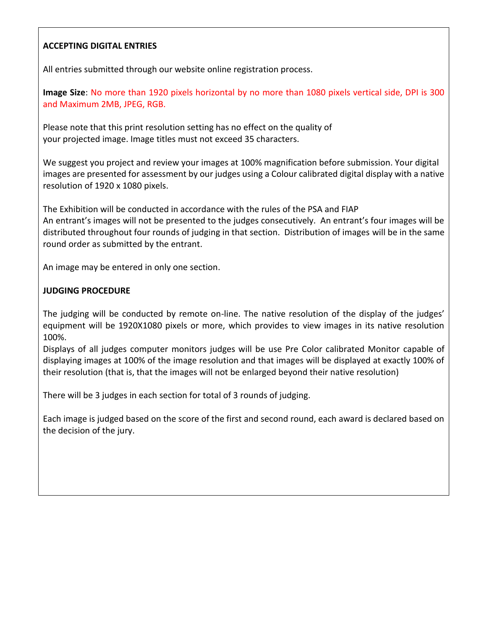#### **ACCEPTING DIGITAL ENTRIES**

All entries submitted through our website online registration process.

**Image Size**: No more than 1920 pixels horizontal by no more than 1080 pixels vertical side, DPI is 300 and Maximum 2MB, JPEG, RGB.

Please note that this print resolution setting has no effect on the quality of your projected image. Image titles must not exceed 35 characters.

We suggest you project and review your images at 100% magnification before submission. Your digital images are presented for assessment by our judges using a Colour calibrated digital display with a native resolution of 1920 x 1080 pixels.

The Exhibition will be conducted in accordance with the rules of the PSA and FIAP An entrant's images will not be presented to the judges consecutively. An entrant's four images will be distributed throughout four rounds of judging in that section. Distribution of images will be in the same round order as submitted by the entrant.

An image may be entered in only one section.

#### **JUDGING PROCEDURE**

The judging will be conducted by remote on-line. The native resolution of the display of the judges' equipment will be 1920X1080 pixels or more, which provides to view images in its native resolution 100%.

Displays of all judges computer monitors judges will be use Pre Color calibrated Monitor capable of displaying images at 100% of the image resolution and that images will be displayed at exactly 100% of their resolution (that is, that the images will not be enlarged beyond their native resolution)

There will be 3 judges in each section for total of 3 rounds of judging.

Each image is judged based on the score of the first and second round, each award is declared based on the decision of the jury.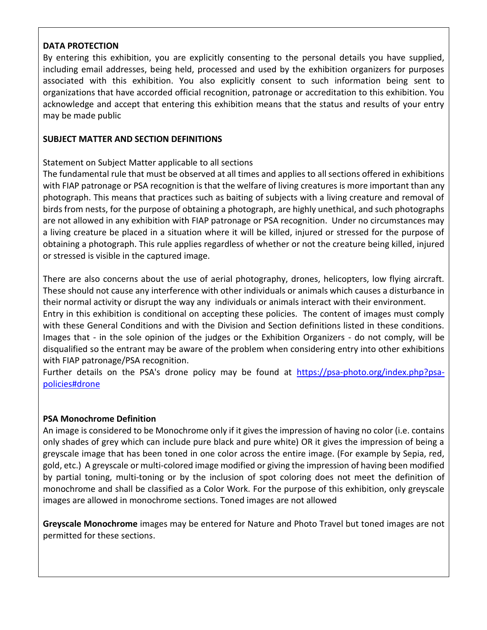#### **DATA PROTECTION**

By entering this exhibition, you are explicitly consenting to the personal details you have supplied, including email addresses, being held, processed and used by the exhibition organizers for purposes associated with this exhibition. You also explicitly consent to such information being sent to organizations that have accorded official recognition, patronage or accreditation to this exhibition. You acknowledge and accept that entering this exhibition means that the status and results of your entry may be made public

#### **SUBJECT MATTER AND SECTION DEFINITIONS**

Statement on Subject Matter applicable to all sections

The fundamental rule that must be observed at all times and applies to all sections offered in exhibitions with FIAP patronage or PSA recognition is that the welfare of living creatures is more important than any photograph. This means that practices such as baiting of subjects with a living creature and removal of birds from nests, for the purpose of obtaining a photograph, are highly unethical, and such photographs are not allowed in any exhibition with FIAP patronage or PSA recognition. Under no circumstances may a living creature be placed in a situation where it will be killed, injured or stressed for the purpose of obtaining a photograph. This rule applies regardless of whether or not the creature being killed, injured or stressed is visible in the captured image.

There are also concerns about the use of aerial photography, drones, helicopters, low flying aircraft. These should not cause any interference with other individuals or animals which causes a disturbance in their normal activity or disrupt the way any individuals or animals interact with their environment. Entry in this exhibition is conditional on accepting these policies. The content of images must comply with these General Conditions and with the Division and Section definitions listed in these conditions. Images that - in the sole opinion of the judges or the Exhibition Organizers - do not comply, will be disqualified so the entrant may be aware of the problem when considering entry into other exhibitions with FIAP patronage/PSA recognition.

Further details on the PSA's drone policy may be found at [https://psa-photo.org/index.php?psa](https://psa-photo.org/index.php?psa-policies#drone)[policies#drone](https://psa-photo.org/index.php?psa-policies#drone)

#### **PSA Monochrome Definition**

An image is considered to be Monochrome only if it gives the impression of having no color (i.e. contains only shades of grey which can include pure black and pure white) OR it gives the impression of being a greyscale image that has been toned in one color across the entire image. (For example by Sepia, red, gold, etc.) A greyscale or multi-colored image modified or giving the impression of having been modified by partial toning, multi-toning or by the inclusion of spot coloring does not meet the definition of monochrome and shall be classified as a Color Work. For the purpose of this exhibition, only greyscale images are allowed in monochrome sections. Toned images are not allowed

**Greyscale Monochrome** images may be entered for Nature and Photo Travel but toned images are not permitted for these sections.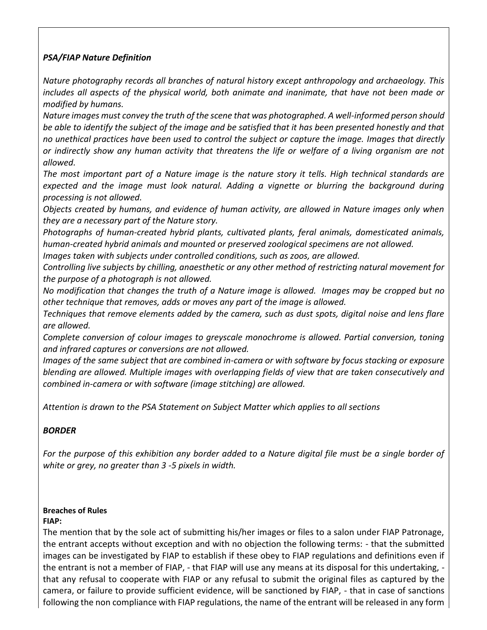#### *PSA/FIAP Nature Definition*

*Nature photography records all branches of natural history except anthropology and archaeology. This includes all aspects of the physical world, both animate and inanimate, that have not been made or modified by humans.* 

*Nature images must convey the truth of the scene that was photographed. A well-informed person should be able to identify the subject of the image and be satisfied that it has been presented honestly and that no unethical practices have been used to control the subject or capture the image. Images that directly or indirectly show any human activity that threatens the life or welfare of a living organism are not allowed.* 

*The most important part of a Nature image is the nature story it tells. High technical standards are expected and the image must look natural. Adding a vignette or blurring the background during processing is not allowed.*

*Objects created by humans, and evidence of human activity, are allowed in Nature images only when they are a necessary part of the Nature story.* 

*Photographs of human-created hybrid plants, cultivated plants, feral animals, domesticated animals, human-created hybrid animals and mounted or preserved zoological specimens are not allowed.* 

*Images taken with subjects under controlled conditions, such as zoos, are allowed.* 

*Controlling live subjects by chilling, anaesthetic or any other method of restricting natural movement for the purpose of a photograph is not allowed.*

*No modification that changes the truth of a Nature image is allowed. Images may be cropped but no other technique that removes, adds or moves any part of the image is allowed.*

*Techniques that remove elements added by the camera, such as dust spots, digital noise and lens flare are allowed.*

*Complete conversion of colour images to greyscale monochrome is allowed. Partial conversion, toning and infrared captures or conversions are not allowed.*

*Images of the same subject that are combined in-camera or with software by focus stacking or exposure blending are allowed. Multiple images with overlapping fields of view that are taken consecutively and combined in-camera or with software (image stitching) are allowed.*

*Attention is drawn to the PSA Statement on Subject Matter which applies to all sections*

#### *BORDER*

*For the purpose of this exhibition any border added to a Nature digital file must be a single border of white or grey, no greater than 3 -5 pixels in width.* 

## **Breaches of Rules**

**FIAP:**

The mention that by the sole act of submitting his/her images or files to a salon under FIAP Patronage, the entrant accepts without exception and with no objection the following terms: - that the submitted images can be investigated by FIAP to establish if these obey to FIAP regulations and definitions even if the entrant is not a member of FIAP, - that FIAP will use any means at its disposal for this undertaking, that any refusal to cooperate with FIAP or any refusal to submit the original files as captured by the camera, or failure to provide sufficient evidence, will be sanctioned by FIAP, - that in case of sanctions following the non compliance with FIAP regulations, the name of the entrant will be released in any form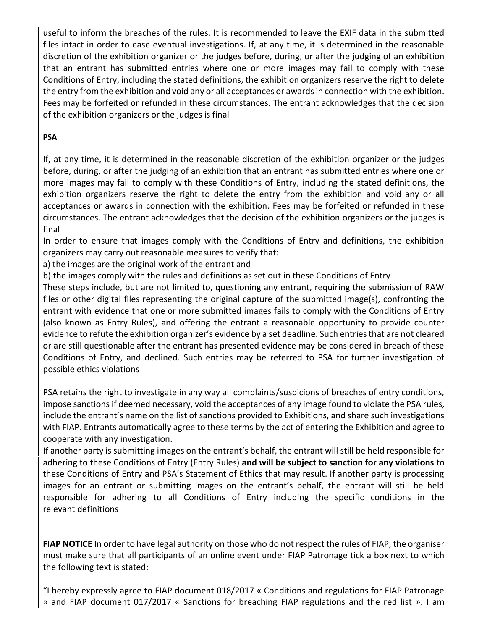useful to inform the breaches of the rules. It is recommended to leave the EXIF data in the submitted files intact in order to ease eventual investigations. If, at any time, it is determined in the reasonable discretion of the exhibition organizer or the judges before, during, or after the judging of an exhibition that an entrant has submitted entries where one or more images may fail to comply with these Conditions of Entry, including the stated definitions, the exhibition organizers reserve the right to delete the entry from the exhibition and void any or all acceptances or awards in connection with the exhibition. Fees may be forfeited or refunded in these circumstances. The entrant acknowledges that the decision of the exhibition organizers or the judges is final

#### **PSA**

If, at any time, it is determined in the reasonable discretion of the exhibition organizer or the judges before, during, or after the judging of an exhibition that an entrant has submitted entries where one or more images may fail to comply with these Conditions of Entry, including the stated definitions, the exhibition organizers reserve the right to delete the entry from the exhibition and void any or all acceptances or awards in connection with the exhibition. Fees may be forfeited or refunded in these circumstances. The entrant acknowledges that the decision of the exhibition organizers or the judges is final

In order to ensure that images comply with the Conditions of Entry and definitions, the exhibition organizers may carry out reasonable measures to verify that:

a) the images are the original work of the entrant and

b) the images comply with the rules and definitions as set out in these Conditions of Entry

These steps include, but are not limited to, questioning any entrant, requiring the submission of RAW files or other digital files representing the original capture of the submitted image(s), confronting the entrant with evidence that one or more submitted images fails to comply with the Conditions of Entry (also known as Entry Rules), and offering the entrant a reasonable opportunity to provide counter evidence to refute the exhibition organizer's evidence by a set deadline. Such entries that are not cleared or are still questionable after the entrant has presented evidence may be considered in breach of these Conditions of Entry, and declined. Such entries may be referred to PSA for further investigation of possible ethics violations

PSA retains the right to investigate in any way all complaints/suspicions of breaches of entry conditions, impose sanctions if deemed necessary, void the acceptances of any image found to violate the PSA rules, include the entrant's name on the list of sanctions provided to Exhibitions, and share such investigations with FIAP. Entrants automatically agree to these terms by the act of entering the Exhibition and agree to cooperate with any investigation.

If another party is submitting images on the entrant's behalf, the entrant will still be held responsible for adhering to these Conditions of Entry (Entry Rules) **and will be subject to sanction for any violations** to these Conditions of Entry and PSA's Statement of Ethics that may result. If another party is processing images for an entrant or submitting images on the entrant's behalf, the entrant will still be held responsible for adhering to all Conditions of Entry including the specific conditions in the relevant definitions

**FIAP NOTICE** In order to have legal authority on those who do not respect the rules of FIAP, the organiser must make sure that all participants of an online event under FIAP Patronage tick a box next to which the following text is stated:

"I hereby expressly agree to FIAP document 018/2017 « Conditions and regulations for FIAP Patronage » and FIAP document 017/2017 « Sanctions for breaching FIAP regulations and the red list ». I am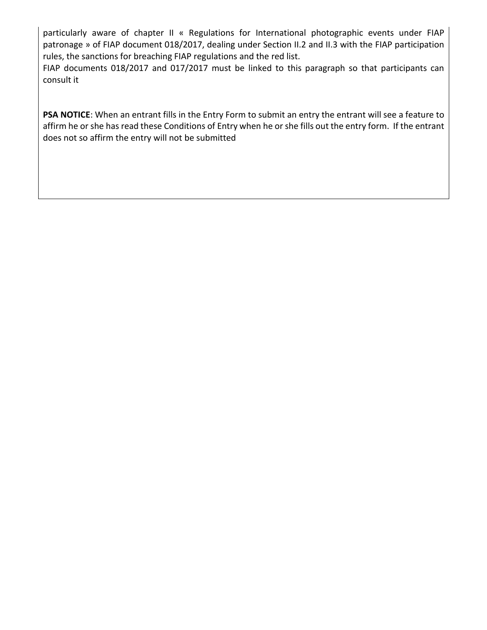particularly aware of chapter II « Regulations for International photographic events under FIAP patronage » of FIAP document 018/2017, dealing under Section II.2 and II.3 with the FIAP participation rules, the sanctions for breaching FIAP regulations and the red list.

FIAP documents 018/2017 and 017/2017 must be linked to this paragraph so that participants can consult it

**PSA NOTICE**: When an entrant fills in the Entry Form to submit an entry the entrant will see a feature to affirm he or she has read these Conditions of Entry when he or she fills out the entry form. If the entrant does not so affirm the entry will not be submitted